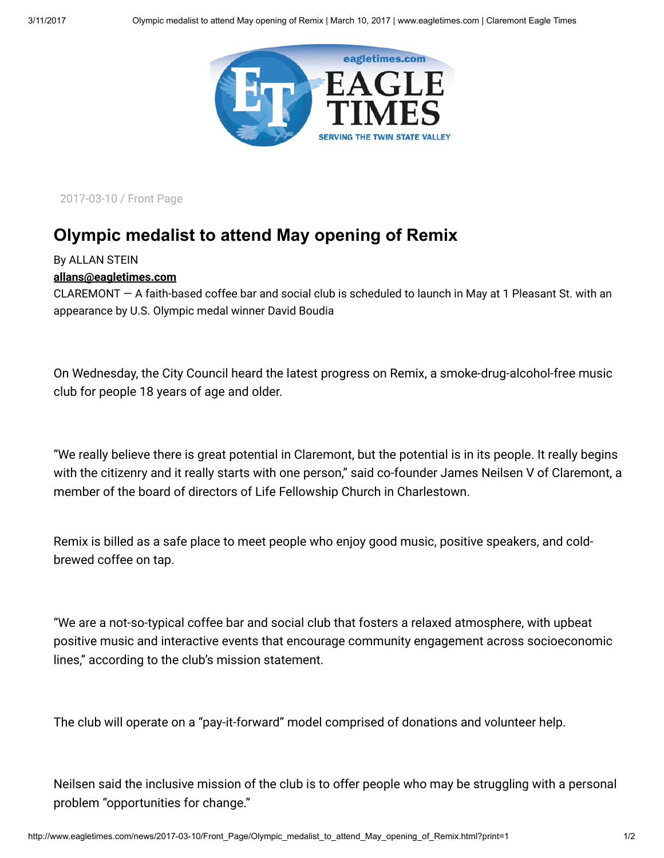

2017-03-10 / Front Page

## Olympic medalist to attend May opening of Remix

## By ALLAN STEIN

## [allans@eagletimes.com](mailto:allans@eagletimes.com)

CLAREMONT — A faith-based coffee bar and social club is scheduled to launch in May at 1 Pleasant St. with an appearance by U.S. Olympic medal winner David Boudia

On Wednesday, the City Council heard the latest progress on Remix, a smoke-drug-alcohol-free music club for people 18 years of age and older.

"We really believe there is great potential in Claremont, but the potential is in its people. It really begins with the citizenry and it really starts with one person," said co-founder James Neilsen V of Claremont, a member of the board of directors of Life Fellowship Church in Charlestown.

Remix is billed as a safe place to meet people who enjoy good music, positive speakers, and coldbrewed coffee on tap.

"We are a not-so-typical coffee bar and social club that fosters a relaxed atmosphere, with upbeat positive music and interactive events that encourage community engagement across socioeconomic lines," according to the club's mission statement.

The club will operate on a "pay-it-forward" model comprised of donations and volunteer help.

Neilsen said the inclusive mission of the club is to offer people who may be struggling with a personal problem "opportunities for change."